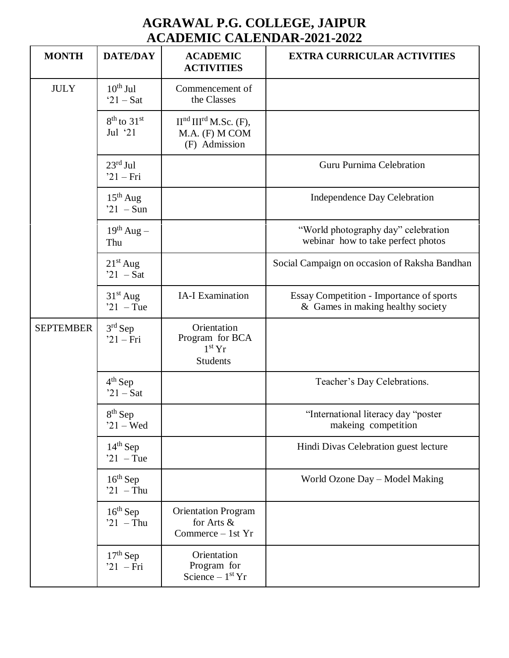## **AGRAWAL P.G. COLLEGE, JAIPUR ACADEMIC CALENDAR-2021-2022**

| <b>MONTH</b>     | <b>DATE/DAY</b>                    | <b>ACADEMIC</b><br><b>ACTIVITIES</b>                              | <b>EXTRA CURRICULAR ACTIVITIES</b>                                            |
|------------------|------------------------------------|-------------------------------------------------------------------|-------------------------------------------------------------------------------|
| <b>JULY</b>      | $10^{th}$ Jul<br>$21 - Sat$        | Commencement of<br>the Classes                                    |                                                                               |
|                  | $8th$ to $31st$<br>Jul $21$        | $IInd IIIrd M.Sc. (F),$<br>M.A. (F) M COM<br>(F) Admission        |                                                                               |
|                  | $23^{\text{rd}}$ Jul<br>$21 - Fri$ |                                                                   | Guru Purnima Celebration                                                      |
|                  | $15th$ Aug<br>$21 - Sun$           |                                                                   | Independence Day Celebration                                                  |
|                  | $19^{th}$ Aug –<br>Thu             |                                                                   | "World photography day" celebration<br>webinar how to take perfect photos     |
|                  | $21st$ Aug<br>$21 - Sat$           |                                                                   | Social Campaign on occasion of Raksha Bandhan                                 |
|                  | $31st$ Aug<br>$21 - \text{Tue}$    | <b>IA-I Examination</b>                                           | Essay Competition - Importance of sports<br>& Games in making healthy society |
| <b>SEPTEMBER</b> | $3rd$ Sep<br>$21 - Fri$            | Orientation<br>Program for BCA<br>$1st$ Yr<br><b>Students</b>     |                                                                               |
|                  | $4th$ Sep<br>$21 - Sat$            |                                                                   | Teacher's Day Celebrations.                                                   |
|                  | $8th$ Sep<br>$21 - Wed$            |                                                                   | "International literacy day "poster<br>makeing competition                    |
|                  | $14th$ Sep<br>$21 - \text{Tue}$    |                                                                   | Hindi Divas Celebration guest lecture                                         |
|                  | $16^{th}$ Sep<br>$21 - Thu$        |                                                                   | World Ozone Day - Model Making                                                |
|                  | $16^{th}$ Sep<br>$21 - Thu$        | <b>Orientation Program</b><br>for Arts &<br>Commerce $-$ 1st $Yr$ |                                                                               |
|                  | $17th$ Sep<br>$21$ - Fri           | Orientation<br>Program for<br>Science $-1st$ Yr                   |                                                                               |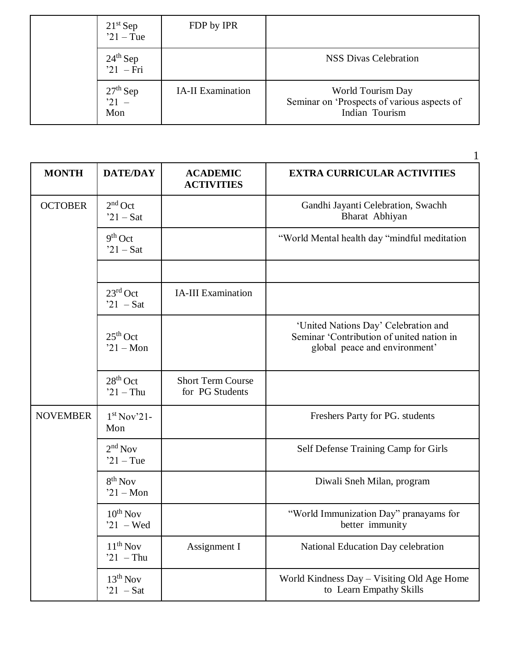|  | $21st$ Sep<br>$21 -$ Tue    | FDP by IPR               |                                                                                    |
|--|-----------------------------|--------------------------|------------------------------------------------------------------------------------|
|  | $24^{th}$ Sep<br>$21 - Fri$ |                          | <b>NSS Divas Celebration</b>                                                       |
|  | $27th$ Sep<br>$21 -$<br>Mon | <b>IA-II</b> Examination | World Tourism Day<br>Seminar on 'Prospects of various aspects of<br>Indian Tourism |

| <b>MONTH</b>    | <b>DATE/DAY</b>                          | <b>ACADEMIC</b><br><b>ACTIVITIES</b>        | <b>EXTRA CURRICULAR ACTIVITIES</b>                                                                                 |
|-----------------|------------------------------------------|---------------------------------------------|--------------------------------------------------------------------------------------------------------------------|
| <b>OCTOBER</b>  | $2nd$ Oct<br>$21 - Sat$                  |                                             | Gandhi Jayanti Celebration, Swachh<br>Bharat Abhiyan                                                               |
|                 | $9th$ Oct<br>$21 - Sat$                  |                                             | "World Mental health day "mindful meditation"                                                                      |
|                 |                                          |                                             |                                                                                                                    |
|                 | $23^{\text{rd}}$ Oct<br>$21 - Sat$       | <b>IA-III</b> Examination                   |                                                                                                                    |
|                 | $25th$ Oct<br>$21 - Mon$                 |                                             | 'United Nations Day' Celebration and<br>Seminar 'Contribution of united nation in<br>global peace and environment' |
|                 | $28th$ Oct<br>$21 - Thu$                 | <b>Short Term Course</b><br>for PG Students |                                                                                                                    |
| <b>NOVEMBER</b> | 1 <sup>st</sup> Nov <sup>21</sup><br>Mon |                                             | Freshers Party for PG. students                                                                                    |
|                 | $2nd$ Nov<br>$21 -$ Tue                  |                                             | Self Defense Training Camp for Girls                                                                               |
|                 | $8th$ Nov<br>$21 - Mon$                  |                                             | Diwali Sneh Milan, program                                                                                         |
|                 | $10^{th}$ Nov<br>$21 - Wed$              |                                             | "World Immunization Day" pranayams for<br>better immunity                                                          |
|                 | $11^{th}$ Nov<br>$21 - Thu$              | Assignment I                                | National Education Day celebration                                                                                 |
|                 | $13th$ Nov<br>$21 - Sat$                 |                                             | World Kindness Day – Visiting Old Age Home<br>to Learn Empathy Skills                                              |

1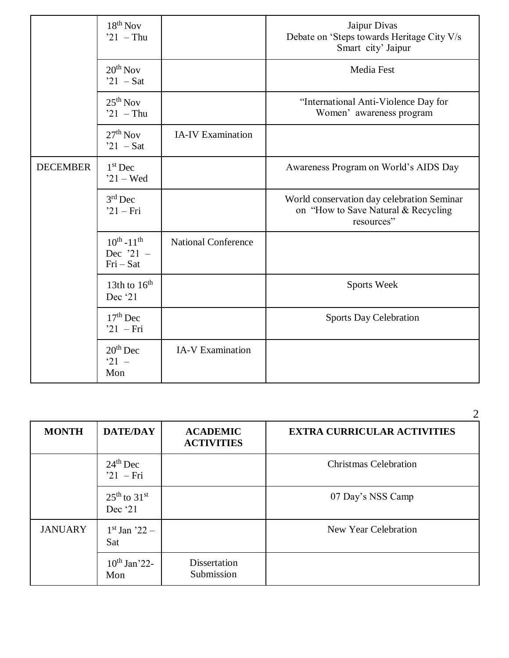|                 | $18th$ Nov<br>$21 - Thu$                      |                            | Jaipur Divas<br>Debate on 'Steps towards Heritage City V/s<br>Smart city' Jaipur                |
|-----------------|-----------------------------------------------|----------------------------|-------------------------------------------------------------------------------------------------|
|                 | $20^{th}$ Nov<br>$21 - Sat$                   |                            | Media Fest                                                                                      |
|                 | $25th$ Nov<br>$21 - Thu$                      |                            | "International Anti-Violence Day for<br>Women' awareness program                                |
|                 | $27th$ Nov<br>$21 - Sat$                      | <b>IA-IV</b> Examination   |                                                                                                 |
| <b>DECEMBER</b> | $1st$ Dec<br>$21 - Wed$                       |                            | Awareness Program on World's AIDS Day                                                           |
|                 | $3rd$ Dec<br>$21 - Fri$                       |                            | World conservation day celebration Seminar<br>on "How to Save Natural & Recycling<br>resources" |
|                 | $10^{th} - 11^{th}$<br>Dec '21 -<br>$Fri-Sat$ | <b>National Conference</b> |                                                                                                 |
|                 | 13th to $16th$<br>Dec '21                     |                            | Sports Week                                                                                     |
|                 | $17th$ Dec<br>$21 - Fri$                      |                            | <b>Sports Day Celebration</b>                                                                   |
|                 | $20th$ Dec<br>$21 -$<br>Mon                   | <b>IA-V Examination</b>    |                                                                                                 |

| <b>MONTH</b>   | <b>DATE/DAY</b>               | <b>ACADEMIC</b><br><b>ACTIVITIES</b> | <b>EXTRA CURRICULAR ACTIVITIES</b> |
|----------------|-------------------------------|--------------------------------------|------------------------------------|
|                | $24th$ Dec<br>$21$ – Fri      |                                      | <b>Christmas Celebration</b>       |
|                | $25th$ to $31st$<br>Dec $'21$ |                                      | 07 Day's NSS Camp                  |
| <b>JANUARY</b> | $1st$ Jan '22 –<br>Sat        |                                      | New Year Celebration               |
|                | $10^{th}$ Jan'22-<br>Mon      | <b>Dissertation</b><br>Submission    |                                    |

 $\mathcal{D}$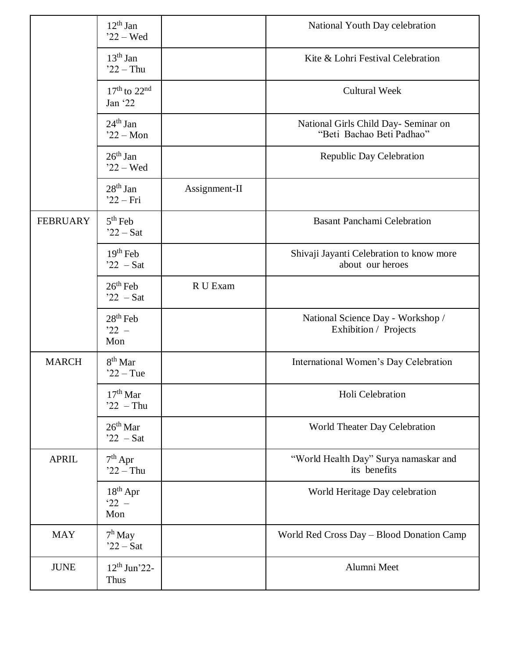|                 | $12th$ Jan<br>$22 - Wed$         |               | National Youth Day celebration                                    |
|-----------------|----------------------------------|---------------|-------------------------------------------------------------------|
|                 | $13th$ Jan<br>$22 - Thu$         |               | Kite & Lohri Festival Celebration                                 |
|                 | $17th$ to $22nd$<br>Jan '22      |               | <b>Cultural Week</b>                                              |
|                 | $24th$ Jan<br>$22 - Mon$         |               | National Girls Child Day- Seminar on<br>"Beti Bachao Beti Padhao" |
|                 | $26th$ Jan<br>$22 - Wed$         |               | <b>Republic Day Celebration</b>                                   |
|                 | $28th$ Jan<br>$22 - Fri$         | Assignment-II |                                                                   |
| <b>FEBRUARY</b> | $5th$ Feb<br>$22 - Sat$          |               | <b>Basant Panchami Celebration</b>                                |
|                 | $19th$ Feb<br>$22 - Sat$         |               | Shivaji Jayanti Celebration to know more<br>about our heroes      |
|                 | $26th$ Feb<br>$22 - Sat$         | R U Exam      |                                                                   |
|                 | $28th$ Feb<br>$22 -$<br>Mon      |               | National Science Day - Workshop /<br>Exhibition / Projects        |
| <b>MARCH</b>    | $8th$ Mar<br>$22 -$ Tue          |               | International Women's Day Celebration                             |
|                 | $17th$ Mar<br>$22 - Thu$         |               | Holi Celebration                                                  |
|                 | $26th$ Mar<br>$22 - Sat$         |               | World Theater Day Celebration                                     |
| <b>APRIL</b>    | $7th$ Apr<br>$22 - Thu$          |               | "World Health Day" Surya namaskar and<br>its benefits             |
|                 | $18th$ Apr<br>$22 -$<br>Mon      |               | World Heritage Day celebration                                    |
| <b>MAY</b>      | $7^{\rm h}$ May<br>$22 - Sat$    |               | World Red Cross Day - Blood Donation Camp                         |
| <b>JUNE</b>     | $12^{th}$ Jun'22-<br><b>Thus</b> |               | Alumni Meet                                                       |